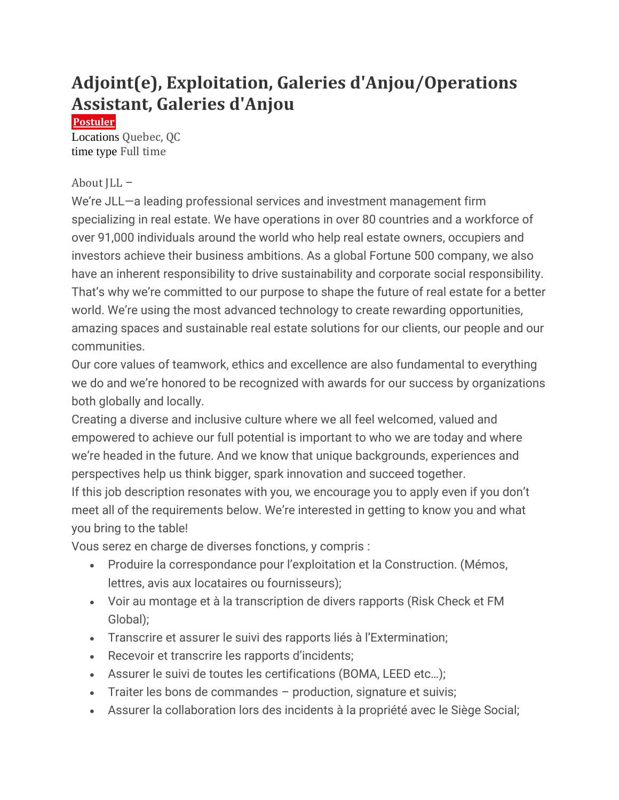# **Adjoint(e), Exploitation, Galeries d'Anjou/Operations Assistant, Galeries d'Anjou**

**[Postuler](https://jll.wd1.myworkdayjobs.com/fr-FR/jllcareers/job/Quebec-QC/Adjoint-e---Exploitation--Galeries-d-Anjou-Operations-Assistant--Galeries-d-Anjou_REQ194837/apply)**

Locations Quebec, QC time type Full time

### About JLL –

We're JLL—a leading professional services and investment management firm specializing in real estate. We have operations in over 80 countries and a workforce of over 91,000 individuals around the world who help real estate owners, occupiers and investors achieve their business ambitions. As a global Fortune 500 company, we also have an inherent responsibility to drive sustainability and corporate social responsibility. That's why we're committed to our purpose to shape the future of real estate for a better world. We're using the most advanced technology to create rewarding opportunities, amazing spaces and sustainable real estate solutions for our clients, our people and our communities.

Our core values of teamwork, ethics and excellence are also fundamental to everything we do and we're honored to be recognized with awards for our success by organizations both globally and locally.

Creating a diverse and inclusive culture where we all feel welcomed, valued and empowered to achieve our full potential is important to who we are today and where we're headed in the future. And we know that unique backgrounds, experiences and perspectives help us think bigger, spark innovation and succeed together.

If this job description resonates with you, we encourage you to apply even if you don't meet all of the requirements below. We're interested in getting to know you and what you bring to the table!

Vous serez en charge de diverses fonctions, y compris :

- Produire la correspondance pour l'exploitation et la Construction. (Mémos, lettres, avis aux locataires ou fournisseurs);
- Voir au montage et à la transcription de divers rapports (Risk Check et FM Global);
- Transcrire et assurer le suivi des rapports liés à l'Extermination;
- Recevoir et transcrire les rapports d'incidents;
- Assurer le suivi de toutes les certifications (BOMA, LEED etc…);
- Traiter les bons de commandes production, signature et suivis;
- Assurer la collaboration lors des incidents à la propriété avec le Siège Social;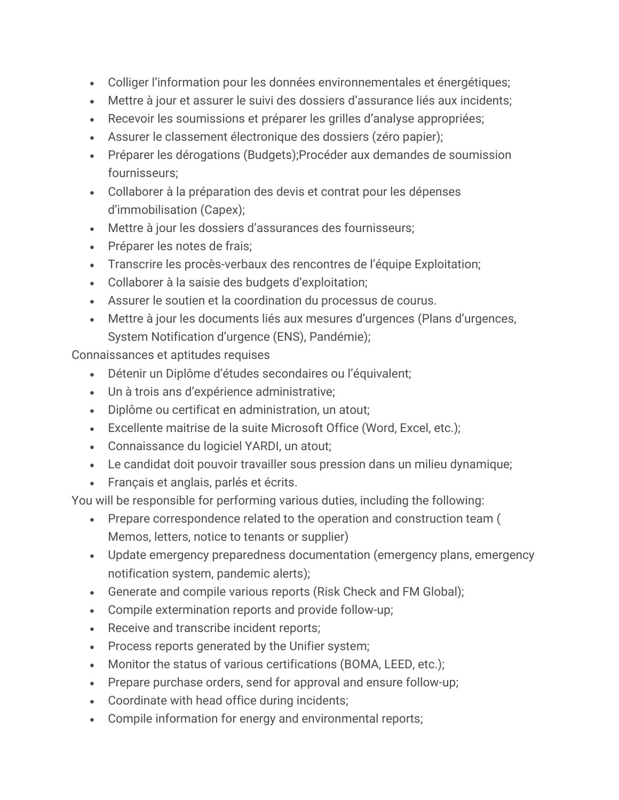- Colliger l'information pour les données environnementales et énergétiques;
- Mettre à jour et assurer le suivi des dossiers d'assurance liés aux incidents;
- Recevoir les soumissions et préparer les grilles d'analyse appropriées;
- Assurer le classement électronique des dossiers (zéro papier);
- Préparer les dérogations (Budgets);Procéder aux demandes de soumission fournisseurs;
- Collaborer à la préparation des devis et contrat pour les dépenses d'immobilisation (Capex);
- Mettre à jour les dossiers d'assurances des fournisseurs;
- Préparer les notes de frais;
- Transcrire les procès-verbaux des rencontres de l'équipe Exploitation;
- Collaborer à la saisie des budgets d'exploitation;
- Assurer le soutien et la coordination du processus de courus.
- Mettre à jour les documents liés aux mesures d'urgences (Plans d'urgences, System Notification d'urgence (ENS), Pandémie);

Connaissances et aptitudes requises

- Détenir un Diplôme d'études secondaires ou l'équivalent;
- Un à trois ans d'expérience administrative;
- Diplôme ou certificat en administration, un atout;
- Excellente maitrise de la suite Microsoft Office (Word, Excel, etc.);
- Connaissance du logiciel YARDI, un atout;
- Le candidat doit pouvoir travailler sous pression dans un milieu dynamique;
- Français et anglais, parlés et écrits.

You will be responsible for performing various duties, including the following:

- Prepare correspondence related to the operation and construction team ( Memos, letters, notice to tenants or supplier)
- Update emergency preparedness documentation (emergency plans, emergency notification system, pandemic alerts);
- Generate and compile various reports (Risk Check and FM Global);
- Compile extermination reports and provide follow-up;
- Receive and transcribe incident reports;
- Process reports generated by the Unifier system;
- Monitor the status of various certifications (BOMA, LEED, etc.);
- Prepare purchase orders, send for approval and ensure follow-up;
- Coordinate with head office during incidents;
- Compile information for energy and environmental reports;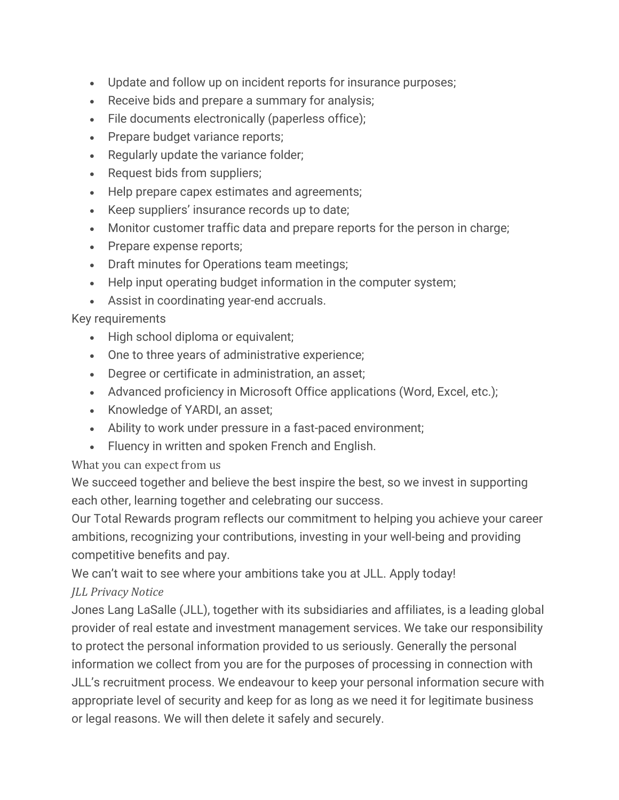- Update and follow up on incident reports for insurance purposes;
- Receive bids and prepare a summary for analysis;
- File documents electronically (paperless office);
- Prepare budget variance reports;
- Regularly update the variance folder;
- Request bids from suppliers;
- Help prepare capex estimates and agreements;
- Keep suppliers' insurance records up to date;
- Monitor customer traffic data and prepare reports for the person in charge;
- Prepare expense reports;
- Draft minutes for Operations team meetings;
- Help input operating budget information in the computer system;
- Assist in coordinating year-end accruals.

## Key requirements

- High school diploma or equivalent;
- One to three years of administrative experience;
- Degree or certificate in administration, an asset;
- Advanced proficiency in Microsoft Office applications (Word, Excel, etc.);
- Knowledge of YARDI, an asset;
- Ability to work under pressure in a fast-paced environment;
- Fluency in written and spoken French and English.

### What you can expect from us

We succeed together and believe the best inspire the best, so we invest in supporting each other, learning together and celebrating our success.

Our Total Rewards program reflects our commitment to helping you achieve your career ambitions, recognizing your contributions, investing in your well-being and providing competitive benefits and pay.

We can't wait to see where your ambitions take you at JLL. Apply today!

## *JLL Privacy Notice*

Jones Lang LaSalle (JLL), together with its subsidiaries and affiliates, is a leading global provider of real estate and investment management services. We take our responsibility to protect the personal information provided to us seriously. Generally the personal information we collect from you are for the purposes of processing in connection with JLL's recruitment process. We endeavour to keep your personal information secure with appropriate level of security and keep for as long as we need it for legitimate business or legal reasons. We will then delete it safely and securely.